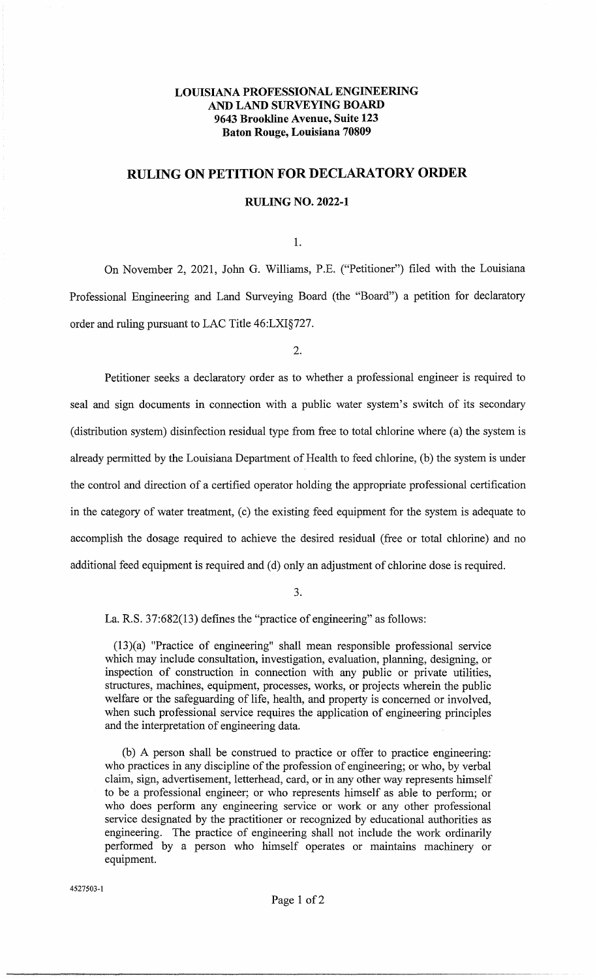## **LOUISIANA PROFESSIONAL ENGINEERING AND LAND SURVEYING BOARD 9643 Brookline A venue, Suite 123 Baton Rouge, Louisiana 70809**

## **RULING ON PETITION FOR DECLARATORY ORDER**

## **RULING NO. 2022-1**

I.

On November 2, 2021, John G. Williams, P.E. ("Petitioner") filed with the Louisiana Professional Engineering and Land Surveying Board (the "Board") a petition for declaratory order and ruling pursuant to LAC Title 46:LXI§727.

2.

Petitioner seeks a declaratory order as to whether a professional engineer is required to seal and sign documents in connection with a public water system's switch of its secondary (distribution system) disinfection residual type from free to total chlorine where (a) the system is already permitted by the Louisiana Department of Health to feed chlorine, (b) the system is under the control and direction of a certified operator holding the appropriate professional certification in the category of water treatment, (c) the existing feed equipment for the system is adequate to accomplish the dosage required to achieve the desired residual (free or total chlorine) and no additional feed equipment is required and (d) only an adjustment of chlorine dose is required.

3.

La. R.S. 37:682(13) defines the "practice of engineering" as follows:

(13)(a) "Practice of engineering" shall mean responsible professional service which may include consultation, investigation, evaluation, planning, designing, or inspection of construction in connection with any public or private utilities, structures, machines, equipment, processes, works, or projects wherein the public welfare or the safeguarding of life, health, and property is concerned or involved, when such professional service requires the application of engineering principles and the interpretation of engineering data.

(b) A person shall be construed to practice or offer to practice engineering: who practices in any discipline of the profession of engineering; or who, by verbal claim, sign, advertisement, letterhead, card, or in any other way represents himself to be a professional engineer; or who represents himself as able to perform; or who does perform any engineering service or work or any other professional service designated by the practitioner or recognized by educational authorities as engineering. The practice of engineering shall not include the work ordinarily performed by a person who himself operates or maintains machinery or equipment.